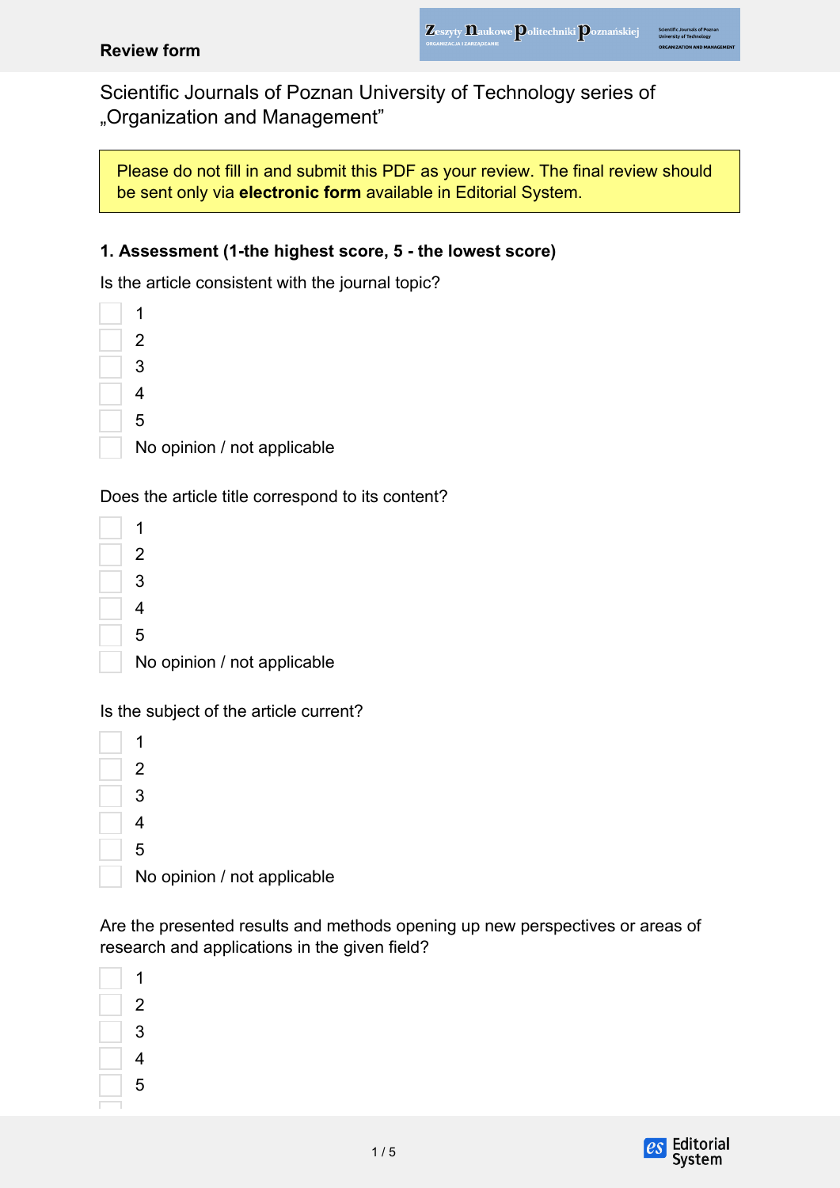#### **Review form**

Scientific Journals of Poznan University of Technology series of "Organization and Management"

Please do not fill in and submit this PDF as your review. The final review should be sent only via **electronic form** available in Editorial System.

#### **1. Assessment (1-the highest score, 5 - the lowest score)**

Is the article consistent with the journal topic?



Does the article title correspond to its content?

| 2                           |
|-----------------------------|
| 3                           |
| 4                           |
| 5                           |
| No opinion / not applicable |
|                             |

Is the subject of the article current?

| 2<br>3<br>4<br>5 |                             |
|------------------|-----------------------------|
|                  |                             |
|                  |                             |
|                  |                             |
|                  |                             |
|                  | No opinion / not applicable |

Are the presented results and methods opening up new perspectives or areas of research and applications in the given field?

| 1 |
|---|
| 2 |
| 3 |
| 4 |
| 5 |
|   |

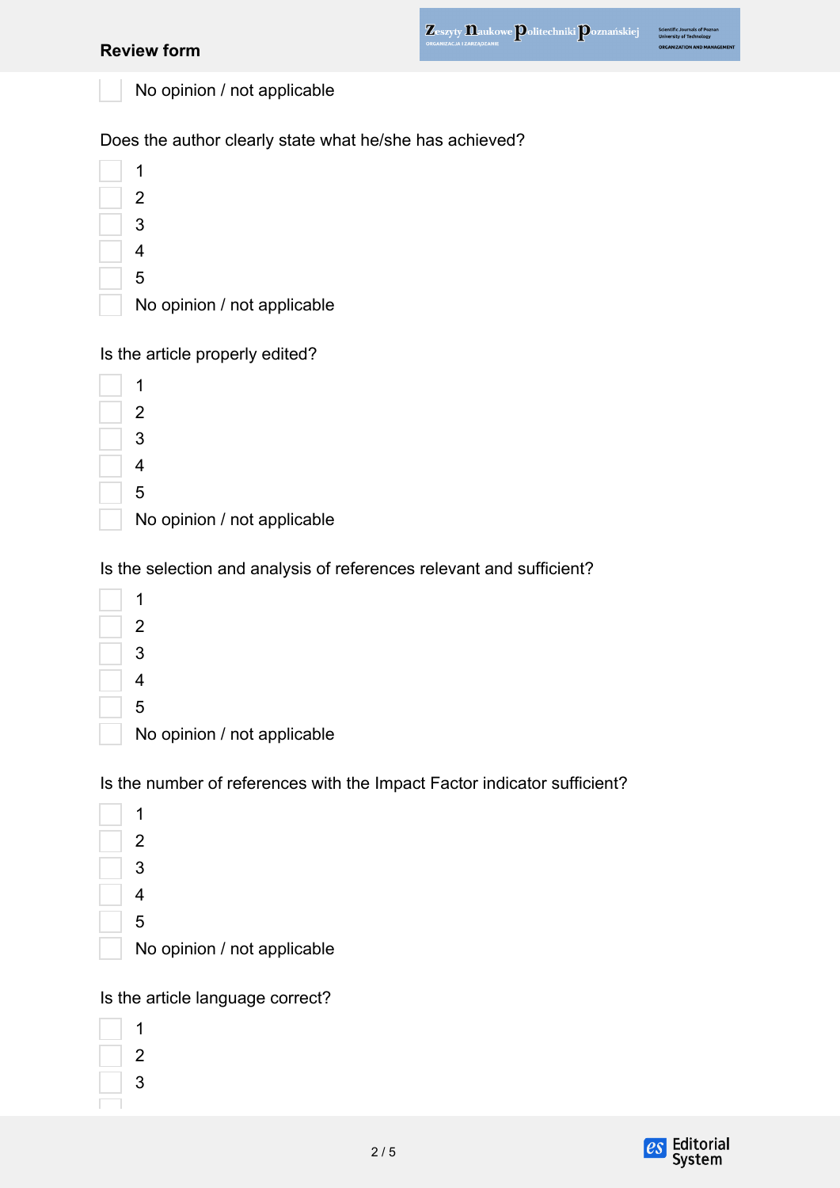| <b>Review form</b>                                                       | Zeszyty <b>Daukowe Politechniki Poznańskiej</b> | <b>Jniversity of Technology</b><br><b>IZATION AND MANAGEMENT</b> |
|--------------------------------------------------------------------------|-------------------------------------------------|------------------------------------------------------------------|
| No opinion / not applicable                                              |                                                 |                                                                  |
| Does the author clearly state what he/she has achieved?                  |                                                 |                                                                  |
| 1                                                                        |                                                 |                                                                  |
| 2                                                                        |                                                 |                                                                  |
| 3                                                                        |                                                 |                                                                  |
| 4                                                                        |                                                 |                                                                  |
| 5                                                                        |                                                 |                                                                  |
| No opinion / not applicable                                              |                                                 |                                                                  |
| Is the article properly edited?                                          |                                                 |                                                                  |
| 1                                                                        |                                                 |                                                                  |
| 2                                                                        |                                                 |                                                                  |
| 3                                                                        |                                                 |                                                                  |
| 4                                                                        |                                                 |                                                                  |
| 5                                                                        |                                                 |                                                                  |
| No opinion / not applicable                                              |                                                 |                                                                  |
| Is the selection and analysis of references relevant and sufficient?     |                                                 |                                                                  |
| 1                                                                        |                                                 |                                                                  |
| 2                                                                        |                                                 |                                                                  |
| 3                                                                        |                                                 |                                                                  |
| 4                                                                        |                                                 |                                                                  |
| 5                                                                        |                                                 |                                                                  |
| No opinion / not applicable                                              |                                                 |                                                                  |
| Is the number of references with the Impact Factor indicator sufficient? |                                                 |                                                                  |
| 1                                                                        |                                                 |                                                                  |
| $\overline{2}$                                                           |                                                 |                                                                  |
| 3                                                                        |                                                 |                                                                  |

- 
- 

No opinion / not applicable

# Is the article language correct?

| 1 |
|---|
| 2 |
| 3 |
|   |

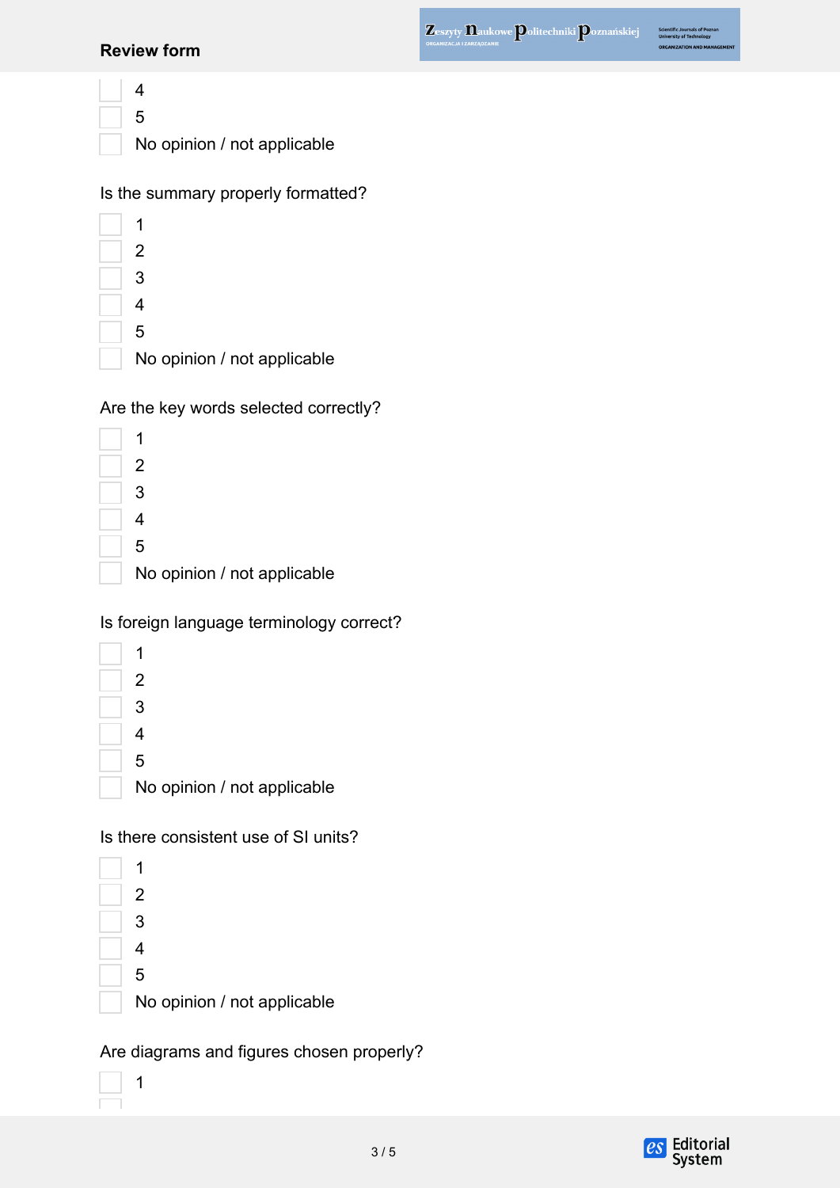#### **Review form**

| 4 |
|---|
| 5 |
| N |

No opinion / not applicable

| Is the summary properly formatted? |  |  |
|------------------------------------|--|--|
|------------------------------------|--|--|

| 2                           |
|-----------------------------|
| 3                           |
| 4                           |
| 5                           |
| No opinion / not applicable |

Are the key words selected correctly?

| 1                           |
|-----------------------------|
| 2                           |
| 3                           |
| 4                           |
| 5                           |
| No opinion / not applicable |

# Is foreign language terminology correct?

| 2                           |
|-----------------------------|
| 3                           |
| 4                           |
| 5                           |
| No opinion / not applicable |

Is there consistent use of SI units?

| $\overline{2}$              |
|-----------------------------|
| 3                           |
| 4                           |
| 5                           |
| No opinion / not applicable |
|                             |

Are diagrams and figures chosen properly?



 $\overline{a}$ ÷.

1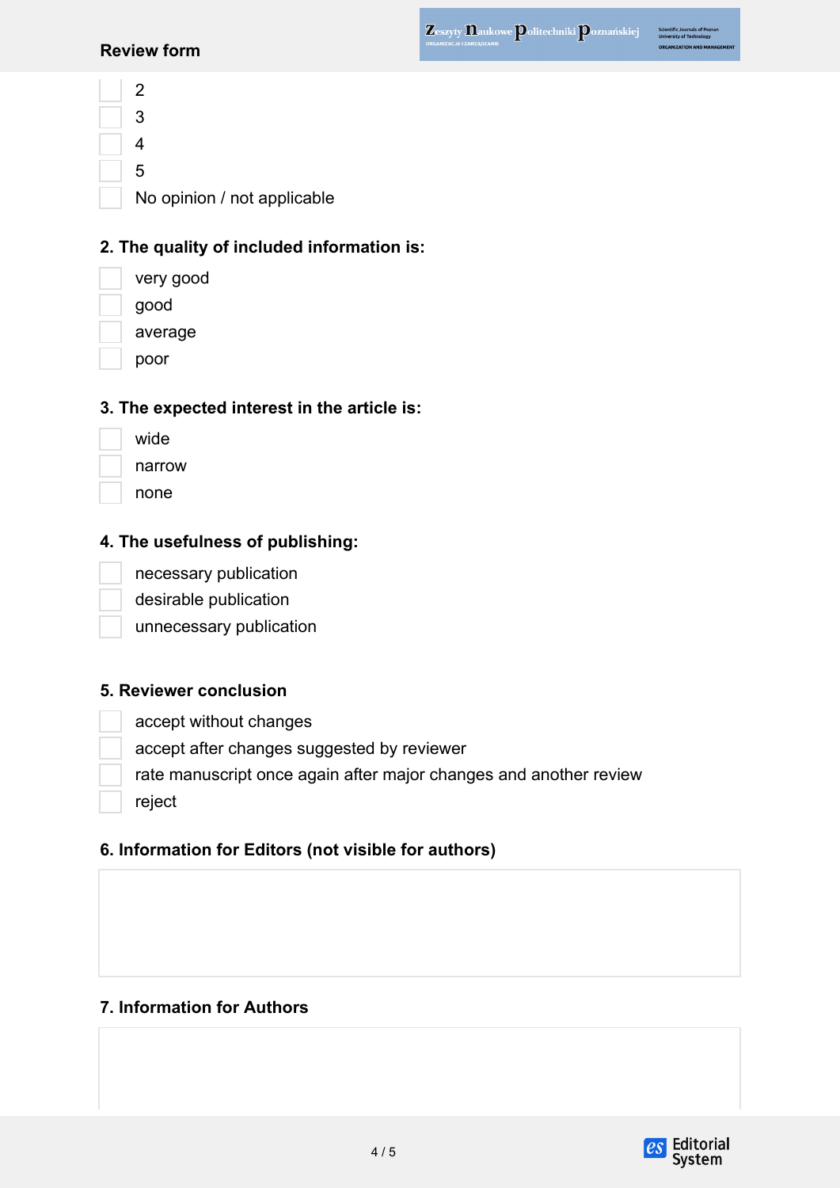Scientific Journals of P<br>University of Technolog

#### **Review form**

2 3 4 5 No opinion / not applicable

## **2. The quality of included information is:**

very good good

average

poor

## **3. The expected interest in the article is:**

| wide   |
|--------|
| narrow |
| none   |

## **4. The usefulness of publishing:**

necessary publication

desirable publication

unnecessary publication

### **5. Reviewer conclusion**

accept without changes

accept after changes suggested by reviewer

rate manuscript once again after major changes and another review

reject

# **6. Information for Editors (not visible for authors)**

## **7. Information for Authors**